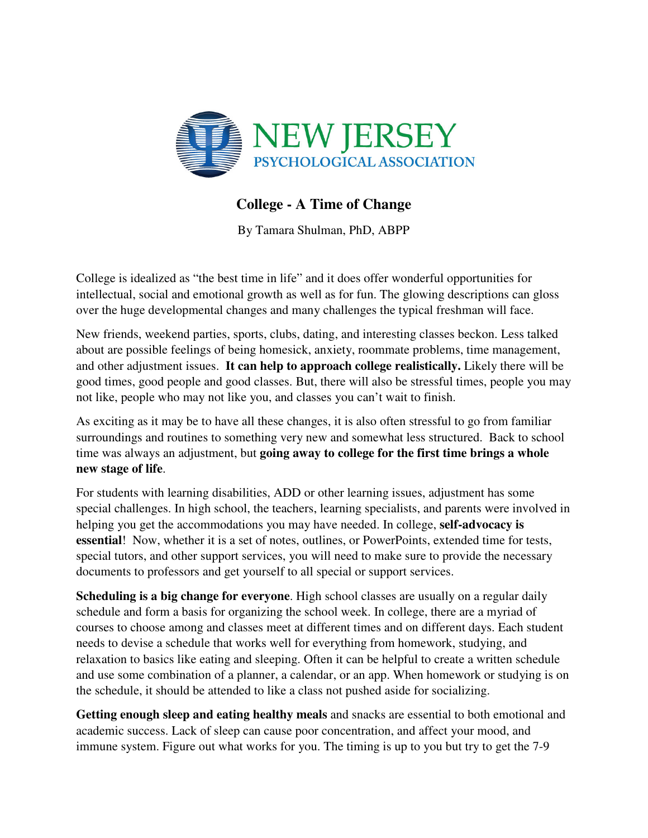

## **College - A Time of Change**

By Tamara Shulman, PhD, ABPP

College is idealized as "the best time in life" and it does offer wonderful opportunities for intellectual, social and emotional growth as well as for fun. The glowing descriptions can gloss over the huge developmental changes and many challenges the typical freshman will face.

New friends, weekend parties, sports, clubs, dating, and interesting classes beckon. Less talked about are possible feelings of being homesick, anxiety, roommate problems, time management, and other adjustment issues. **It can help to approach college realistically.** Likely there will be good times, good people and good classes. But, there will also be stressful times, people you may not like, people who may not like you, and classes you can't wait to finish.

As exciting as it may be to have all these changes, it is also often stressful to go from familiar surroundings and routines to something very new and somewhat less structured. Back to school time was always an adjustment, but **going away to college for the first time brings a whole new stage of life**.

For students with learning disabilities, ADD or other learning issues, adjustment has some special challenges. In high school, the teachers, learning specialists, and parents were involved in helping you get the accommodations you may have needed. In college, **self-advocacy is essential**! Now, whether it is a set of notes, outlines, or PowerPoints, extended time for tests, special tutors, and other support services, you will need to make sure to provide the necessary documents to professors and get yourself to all special or support services.

**Scheduling is a big change for everyone**. High school classes are usually on a regular daily schedule and form a basis for organizing the school week. In college, there are a myriad of courses to choose among and classes meet at different times and on different days. Each student needs to devise a schedule that works well for everything from homework, studying, and relaxation to basics like eating and sleeping. Often it can be helpful to create a written schedule and use some combination of a planner, a calendar, or an app. When homework or studying is on the schedule, it should be attended to like a class not pushed aside for socializing.

**Getting enough sleep and eating healthy meals** and snacks are essential to both emotional and academic success. Lack of sleep can cause poor concentration, and affect your mood, and immune system. Figure out what works for you. The timing is up to you but try to get the 7-9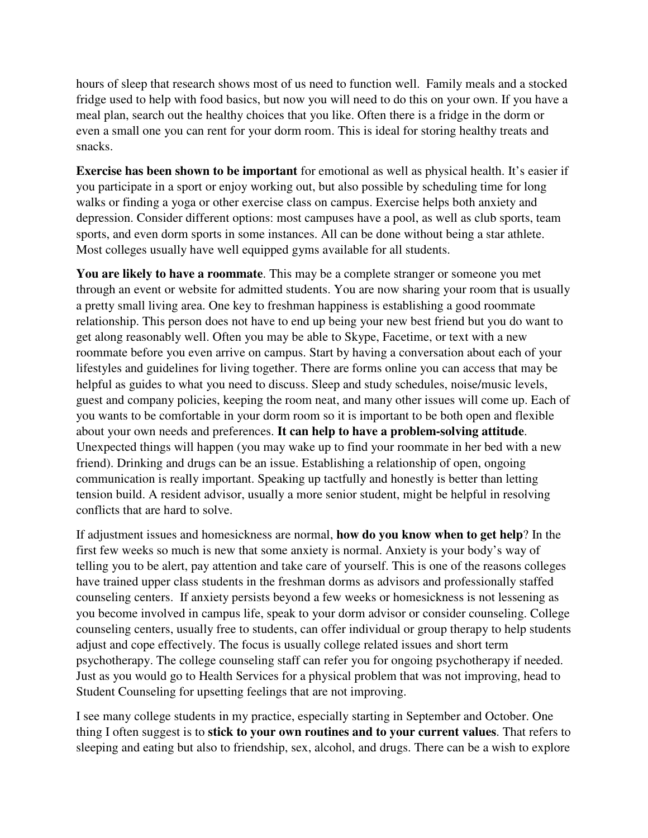hours of sleep that research shows most of us need to function well. Family meals and a stocked fridge used to help with food basics, but now you will need to do this on your own. If you have a meal plan, search out the healthy choices that you like. Often there is a fridge in the dorm or even a small one you can rent for your dorm room. This is ideal for storing healthy treats and snacks.

**Exercise has been shown to be important** for emotional as well as physical health. It's easier if you participate in a sport or enjoy working out, but also possible by scheduling time for long walks or finding a yoga or other exercise class on campus. Exercise helps both anxiety and depression. Consider different options: most campuses have a pool, as well as club sports, team sports, and even dorm sports in some instances. All can be done without being a star athlete. Most colleges usually have well equipped gyms available for all students.

**You are likely to have a roommate**. This may be a complete stranger or someone you met through an event or website for admitted students. You are now sharing your room that is usually a pretty small living area. One key to freshman happiness is establishing a good roommate relationship. This person does not have to end up being your new best friend but you do want to get along reasonably well. Often you may be able to Skype, Facetime, or text with a new roommate before you even arrive on campus. Start by having a conversation about each of your lifestyles and guidelines for living together. There are forms online you can access that may be helpful as guides to what you need to discuss. Sleep and study schedules, noise/music levels, guest and company policies, keeping the room neat, and many other issues will come up. Each of you wants to be comfortable in your dorm room so it is important to be both open and flexible about your own needs and preferences. **It can help to have a problem-solving attitude**. Unexpected things will happen (you may wake up to find your roommate in her bed with a new friend). Drinking and drugs can be an issue. Establishing a relationship of open, ongoing communication is really important. Speaking up tactfully and honestly is better than letting tension build. A resident advisor, usually a more senior student, might be helpful in resolving conflicts that are hard to solve.

If adjustment issues and homesickness are normal, **how do you know when to get help**? In the first few weeks so much is new that some anxiety is normal. Anxiety is your body's way of telling you to be alert, pay attention and take care of yourself. This is one of the reasons colleges have trained upper class students in the freshman dorms as advisors and professionally staffed counseling centers. If anxiety persists beyond a few weeks or homesickness is not lessening as you become involved in campus life, speak to your dorm advisor or consider counseling. College counseling centers, usually free to students, can offer individual or group therapy to help students adjust and cope effectively. The focus is usually college related issues and short term psychotherapy. The college counseling staff can refer you for ongoing psychotherapy if needed. Just as you would go to Health Services for a physical problem that was not improving, head to Student Counseling for upsetting feelings that are not improving.

I see many college students in my practice, especially starting in September and October. One thing I often suggest is to **stick to your own routines and to your current values**. That refers to sleeping and eating but also to friendship, sex, alcohol, and drugs. There can be a wish to explore